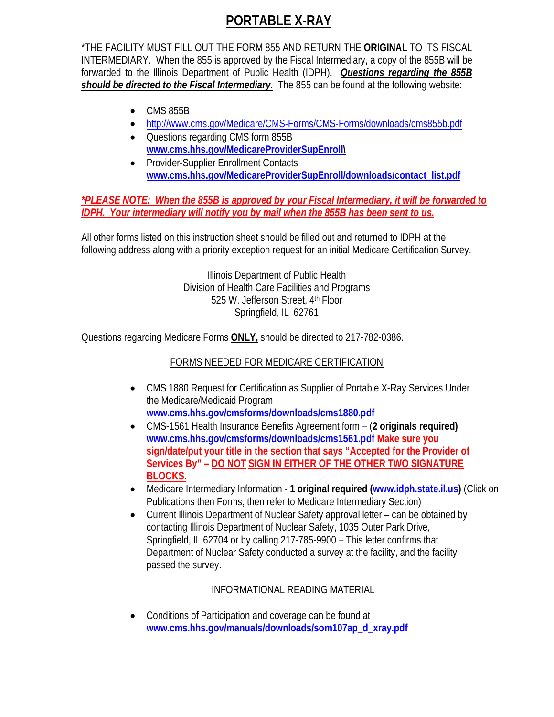## **PORTABLE X-RAY**

\*THE FACILITY MUST FILL OUT THE FORM 855 AND RETURN THE **ORIGINAL** TO ITS FISCAL INTERMEDIARY. When the 855 is approved by the Fiscal Intermediary, a copy of the 855B will be forwarded to the Illinois Department of Public Health (IDPH). *Questions regarding the 855B should be directed to the Fiscal Intermediary.* The 855 can be found at the following website:

- CMS 855B
- <http://www.cms.gov/Medicare/CMS-Forms/CMS-Forms/downloads/cms855b.pdf>
- Questions regarding CMS form 855B **[www.cms.hhs.gov/MedicareProviderSupEnroll\](http://www.cms.hhs.gov/MedicareProviderSupEnroll)**
- Provider-Supplier Enrollment Contacts **[www.cms.hhs.gov/MedicareProviderSupEnroll/downloads/contact\\_list.pdf](http://www.cms.hhs.gov/MedicareProviderSupEnroll/downloads/contact_list.pdf)**

*\*PLEASE NOTE: When the 855B is approved by your Fiscal Intermediary, it will be forwarded to IDPH. Your intermediary will notify you by mail when the 855B has been sent to us.*

All other forms listed on this instruction sheet should be filled out and returned to IDPH at the following address along with a priority exception request for an initial Medicare Certification Survey.

> Illinois Department of Public Health Division of Health Care Facilities and Programs 525 W. Jefferson Street, 4th Floor Springfield, IL 62761

Questions regarding Medicare Forms **ONLY,** should be directed to 217-782-0386.

## FORMS NEEDED FOR MEDICARE CERTIFICATION

- CMS 1880 Request for Certification as Supplier of Portable X-Ray Services Under the Medicare/Medicaid Program **[www.cms.hhs.gov/cmsforms/downloads/cms1880.pdf](http://www.cms.hhs.gov/cmsforms/downloads/cms1880.pdf)**
- CMS-1561 Health Insurance Benefits Agreement form (**2 originals required) [www.cms.hhs.gov/cmsforms/downloads/cms1561.pdf](http://www.cms.hhs.gov/cmsforms/downloads/cms1561.pdf) Make sure you sign/date/put your title in the section that says "Accepted for the Provider of Services By" – DO NOT SIGN IN EITHER OF THE OTHER TWO SIGNATURE BLOCKS.**
- Medicare Intermediary Information **1 original required [\(www.idph.state.il.us\)](http://www.idph.state.il.us/)** (Click on Publications then Forms, then refer to Medicare Intermediary Section)
- Current Illinois Department of Nuclear Safety approval letter can be obtained by contacting Illinois Department of Nuclear Safety, 1035 Outer Park Drive, Springfield, IL 62704 or by calling 217-785-9900 – This letter confirms that Department of Nuclear Safety conducted a survey at the facility, and the facility passed the survey.

## INFORMATIONAL READING MATERIAL

• Conditions of Participation and coverage can be found at **[www.cms.hhs.gov/manuals/downloads/som107ap\\_d\\_xray.pdf](http://www.cms.hhs.gov/manuals/downloads/som107ap_d_xray.pdf)**